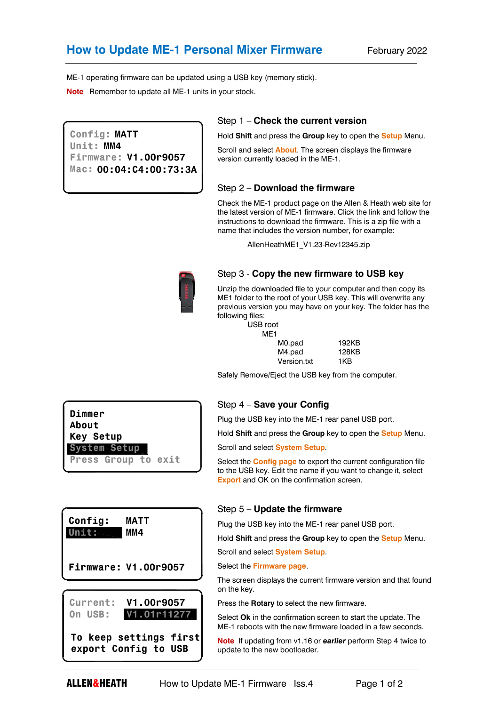ME-1 operating firmware can be updated using a USB key (memory stick).

**Note** Remember to update all ME-1 units in your stock.

**Config: MATT Unit: MM4 Firmware: V1.00r9057 Mac: 00:04:C4:00:73:3A**

### Step 1 – **Check the current version**

Hold **Shift** and press the **Group** key to open the **Setup** Menu.

Scroll and select **About**. The screen displays the firmware version currently loaded in the ME-1.

### Step 2 – **Download the firmware**

Check the ME-1 product page on the Allen & Heath web site for the latest version of ME-1 firmware. Click the link and follow the instructions to download the firmware. This is a zip file with a name that includes the version number, for example:

AllenHeathME1\_V1.23-Rev12345.zip



## Step 3 - **Copy the new firmware to USB key**

Unzip the downloaded file to your computer and then copy its ME1 folder to the root of your USB key. This will overwrite any previous version you may have on your key. The folder has the following files:

USB root M<sub>F1</sub>

| 192KB |
|-------|
| 128KB |
| 1KB   |
|       |

Safely Remove/Eject the USB key from the computer.

### Step 4 – **Save your Config**

Plug the USB key into the ME-1 rear panel USB port.

Hold **Shift** and press the **Group** key to open the **Setup** Menu.

Scroll and select **System Setup**.

Select the **Config page** to export the current configuration file to the USB key. Edit the name if you want to change it, select **Export** and OK on the confirmation screen.

#### Step 5 – **Update the firmware**

Plug the USB key into the ME-1 rear panel USB port.

Hold **Shift** and press the **Group** key to open the **Setup** Menu.

Scroll and select **System Setup**.

Select the **Firmware page**.

The screen displays the current firmware version and that found on the key.

Press the **Rotary** to select the new firmware.

Select **Ok** in the confirmation screen to start the update. The ME-1 reboots with the new firmware loaded in a few seconds.

**Note** If updating from v1.16 or *earlier* perform Step 4 twice to update to the new bootloader.

**V1.01r11277 Current: V1.00r9057 On USB: Firmware: V1.00r9057**

**MM4**

**Dimmer About**

**System Setup**

**Config: MATT**

**Unit:**

**Key Setup**

**Press Group to exit**

**To keep settings first export Config to USB**

**ALLEN&HEATH** How to Update ME-1 Firmware Iss.4 Page 1 of 2